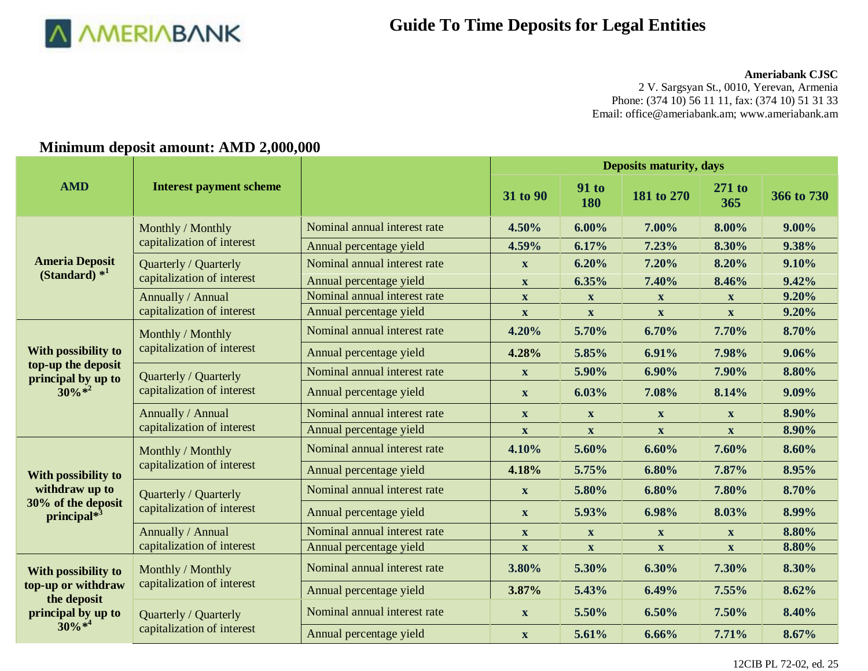

#### **Ameriabank CJSC**

2 V. Sargsyan St., 0010, Yerevan, Armenia Phone: (374 10) 56 11 11, fax: (374 10) 51 31 33 Email[: office@ameriabank.am;](mailto:office@ameriabank.am) www.ameriabank.am

#### **AMD Interest payment scheme Deposits maturity, days 31** to 90 **91** to **91** to **180 <sup>180</sup> 181 to 270 271 to <sup>365</sup> 366 to 730 Ameria Deposit (Standard) \* 1** Monthly / Monthly capitalization of interest Nominal annual interest rate **4.50% 6.00% 7.00% 8.00% 9.00%** Annual percentage yield **4.59% 6.17% 7.23% 8.30% 9.38%** Quarterly / Quarterly capitalization of interest Nominal annual interest rate **x 6.20% 7.20% 8.20% 9.10%** Annual percentage yield **x 6.35% 7.40% 8.46% 9.42%** Annually / Annual capitalization of interest Nominal annual interest rate **x x x x x x 9.20%** Annual percentage yield **x x x x 9.20% With possibility to top-up the deposit principal by up to**   $30\% *^2$ Monthly / Monthly capitalization of interest Nominal annual interest rate **4.20% 5.70% 6.70% 7.70% 8.70%** Annual percentage yield **4.28% 5.85% 6.91% 7.98% 9.06%** Quarterly / Quarterly capitalization of interest Nominal annual interest rate **x 5.90% 6.90% 7.90% 8.80%** Annual percentage yield **x 6.03% 7.08% 8.14% 9.09%** Annually / Annual capitalization of interest Nominal annual interest rate **x x x x 8.90%** Annual percentage yield **x x x x 8.90% With possibility to withdraw up to 30% of the deposit principal\* 3** Monthly / Monthly capitalization of interest Nominal annual interest rate **4.10% 5.60% 6.60% 7.60% 8.60%** Annual percentage yield **4.18% 5.75% 6.80% 7.87% 8.95%** Quarterly / Quarterly capitalization of interest Nominal annual interest rate **x 5.80% 6.80% 7.80% 8.70%** Annual percentage yield **x 5.93% 6.98% 8.03% 8.99%** Annually / Annual capitalization of interest Nominal annual interest rate **x x x x 8.80%** Annual percentage yield **x x x x x x x 8.80% With possibility to top-up or withdraw the deposit principal by up to**   $30\% *^4$ Monthly / Monthly capitalization of interest Nominal annual interest rate **3.80% 5.30% 6.30% 7.30% 8.30%** Annual percentage yield **3.87% 5.43% 6.49% 7.55% 8.62%** Quarterly / Quarterly capitalization of interest Nominal annual interest rate **x 5.50% 6.50% 7.50% 8.40%** Annual percentage yield **x 5.61% 6.66% 7.71% 8.67%**

### **Minimum deposit amount: AMD 2,000,000**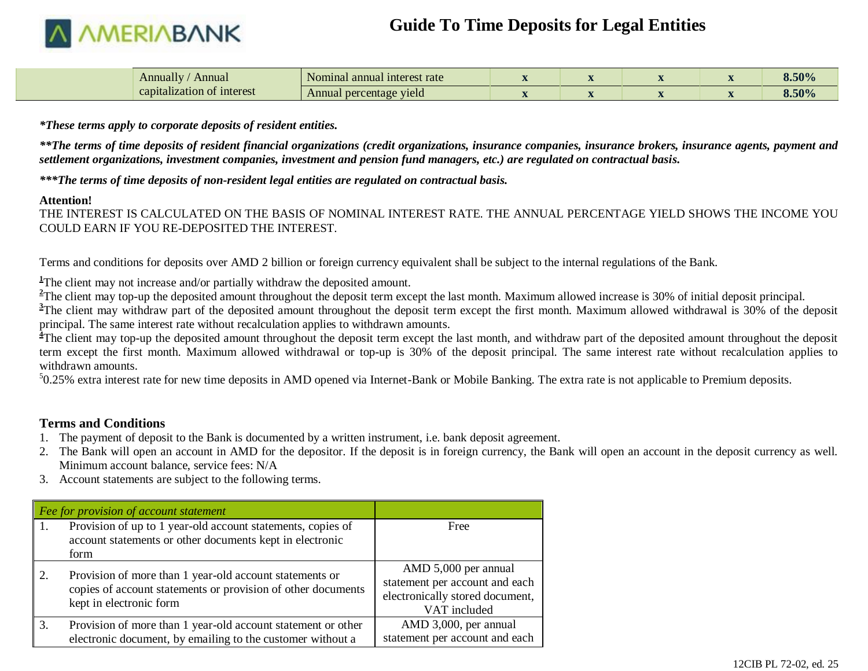

| Annually<br>Annual         | Nominal annual interest rate |  |  | 8.50% |
|----------------------------|------------------------------|--|--|-------|
| capitalization of interest | Annual percentage yield      |  |  | 8.50% |

*\*These terms apply to corporate deposits of resident entities.*

*\*\*The terms of time deposits of resident financial organizations (credit organizations, insurance companies, insurance brokers, insurance agents, payment and settlement organizations, investment companies, investment and pension fund managers, etc.) are regulated on contractual basis.*

*\*\*\*The terms of time deposits of non-resident legal entities are regulated on contractual basis.*

#### **Attention!**

THE INTEREST IS CALCULATED ON THE BASIS OF NOMINAL INTEREST RATE. THE ANNUAL PERCENTAGE YIELD SHOWS THE INCOME YOU COULD EARN IF YOU RE-DEPOSITED THE INTEREST.

Terms and conditions for deposits over AMD 2 billion or foreign currency equivalent shall be subject to the internal regulations of the Bank.

<sup>1</sup>The client may not increase and/or partially withdraw the deposited amount.

<sup>2</sup>The client may top-up the deposited amount throughout the deposit term except the last month. Maximum allowed increase is 30% of initial deposit principal.

<sup>3</sup>The client may withdraw part of the deposited amount throughout the deposit term except the first month. Maximum allowed withdrawal is 30% of the deposit principal. The same interest rate without recalculation applies to withdrawn amounts.

<sup>4</sup>The client may top-up the deposited amount throughout the deposit term except the last month, and withdraw part of the deposited amount throughout the deposited term except the first month. Maximum allowed withdrawal or top-up is 30% of the deposit principal. The same interest rate without recalculation applies to withdrawn amounts.

<sup>5</sup>0.25% extra interest rate for new time deposits in AMD opened via Internet-Bank or Mobile Banking. The extra rate is not applicable to Premium deposits.

### **Terms and Conditions**

- 1. The payment of deposit to the Bank is documented by a written instrument, i.e. bank deposit agreement.
- 2. The Bank will open an account in AMD for the depositor. If the deposit is in foreign currency, the Bank will open an account in the deposit currency as well. Minimum account balance, service fees: N/A
- 3. Account statements are subject to the following terms.

|      | $\vert$ Fee for provision of account statement                                                                                                     |                                                                                                           |
|------|----------------------------------------------------------------------------------------------------------------------------------------------------|-----------------------------------------------------------------------------------------------------------|
| l 1. | Provision of up to 1 year-old account statements, copies of<br>account statements or other documents kept in electronic<br>form                    | Free                                                                                                      |
| 2.   | Provision of more than 1 year-old account statements or<br>copies of account statements or provision of other documents<br>kept in electronic form | AMD 5,000 per annual<br>statement per account and each<br>electronically stored document,<br>VAT included |
| 3.   | Provision of more than 1 year-old account statement or other<br>electronic document, by emailing to the customer without a                         | AMD 3,000, per annual<br>statement per account and each                                                   |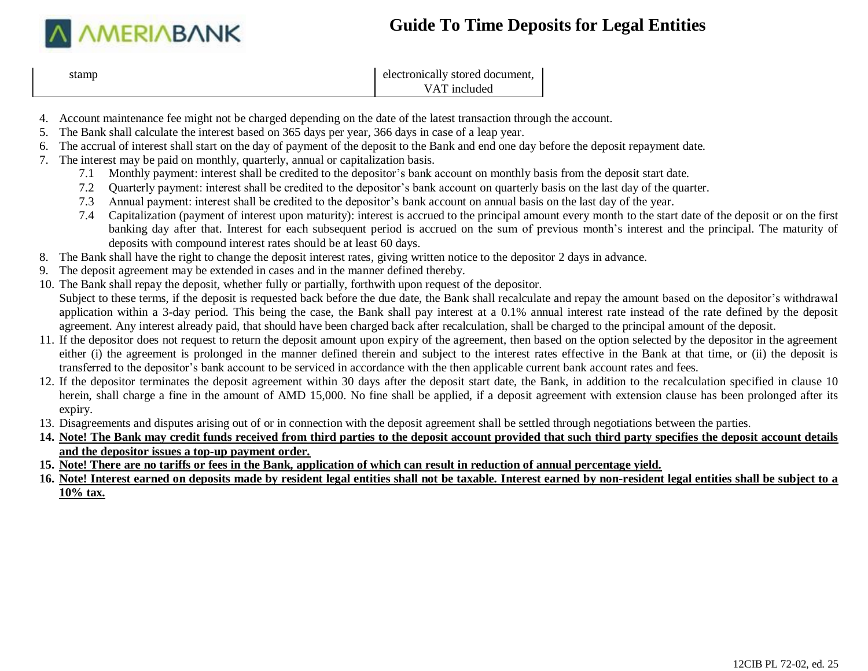

| stamp | electronically stored document, |
|-------|---------------------------------|
|       | VAT included                    |

- 4. Account maintenance fee might not be charged depending on the date of the latest transaction through the account.
- 5. The Bank shall calculate the interest based on 365 days per year, 366 days in case of a leap year.
- 6. The accrual of interest shall start on the day of payment of the deposit to the Bank and end one day before the deposit repayment date.
- 7. The interest may be paid on monthly, quarterly, annual or capitalization basis.
	- 7.1 Monthly payment: interest shall be credited to the depositor's bank account on monthly basis from the deposit start date.
	- 7.2 Quarterly payment: interest shall be credited to the depositor's bank account on quarterly basis on the last day of the quarter.
	- 7.3 Annual payment: interest shall be credited to the depositor's bank account on annual basis on the last day of the year.
	- 7.4 Capitalization (payment of interest upon maturity): interest is accrued to the principal amount every month to the start date of the deposit or on the first banking day after that. Interest for each subsequent period is accrued on the sum of previous month's interest and the principal. The maturity of deposits with compound interest rates should be at least 60 days.
- 8. The Bank shall have the right to change the deposit interest rates, giving written notice to the depositor 2 days in advance.
- 9. The deposit agreement may be extended in cases and in the manner defined thereby.
- 10. The Bank shall repay the deposit, whether fully or partially, forthwith upon request of the depositor. Subject to these terms, if the deposit is requested back before the due date, the Bank shall recalculate and repay the amount based on the depositor's withdrawal application within a 3-day period. This being the case, the Bank shall pay interest at a 0.1% annual interest rate instead of the rate defined by the deposit agreement. Any interest already paid, that should have been charged back after recalculation, shall be charged to the principal amount of the deposit.
- 11. If the depositor does not request to return the deposit amount upon expiry of the agreement, then based on the option selected by the depositor in the agreement either (i) the agreement is prolonged in the manner defined therein and subject to the interest rates effective in the Bank at that time, or (ii) the deposit is transferred to the depositor's bank account to be serviced in accordance with the then applicable current bank account rates and fees.
- 12. If the depositor terminates the deposit agreement within 30 days after the deposit start date, the Bank, in addition to the recalculation specified in clause 10 herein, shall charge a fine in the amount of AMD 15,000. No fine shall be applied, if a deposit agreement with extension clause has been prolonged after its expiry.
- 13. Disagreements and disputes arising out of or in connection with the deposit agreement shall be settled through negotiations between the parties.
- **14. Note! The Bank may credit funds received from third parties to the deposit account provided that such third party specifies the deposit account details and the depositor issues a top-up payment order.**
- **15. Note! There are no tariffs or fees in the Bank, application of which can result in reduction of annual percentage yield.**
- **16. Note! Interest earned on deposits made by resident legal entities shall not be taxable. Interest earned by non-resident legal entities shall be subject to a 10% tax.**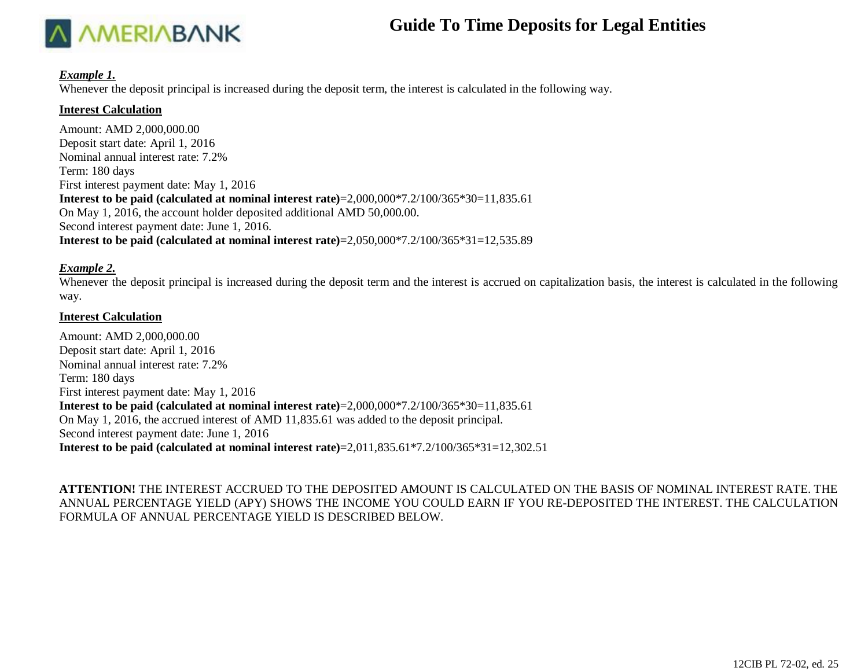

#### *Example 1.*

Whenever the deposit principal is increased during the deposit term, the interest is calculated in the following way.

#### **Interest Calculation**

Amount: AMD 2,000,000.00 Deposit start date: April 1, 2016 Nominal annual interest rate: 7.2% Term: 180 days First interest payment date: May 1, 2016 **Interest to be paid (calculated at nominal interest rate)**=2,000,000\*7.2/100/365\*30=11,835.61 On May 1, 2016, the account holder deposited additional AMD 50,000.00. Second interest payment date: June 1, 2016. **Interest to be paid (calculated at nominal interest rate)**=2,050,000\*7.2/100/365\*31=12,535.89

### *Example 2.*

Whenever the deposit principal is increased during the deposit term and the interest is accrued on capitalization basis, the interest is calculated in the following way.

#### **Interest Calculation**

Amount: AMD 2,000,000.00 Deposit start date: April 1, 2016 Nominal annual interest rate: 7.2% Term: 180 days First interest payment date: May 1, 2016 **Interest to be paid (calculated at nominal interest rate)**=2,000,000\*7.2/100/365\*30=11,835.61 On May 1, 2016, the accrued interest of AMD 11,835.61 was added to the deposit principal. Second interest payment date: June 1, 2016 **Interest to be paid (calculated at nominal interest rate)**=2,011,835.61\*7.2/100/365\*31=12,302.51

**ATTENTION!** THE INTEREST ACCRUED TO THE DEPOSITED AMOUNT IS CALCULATED ON THE BASIS OF NOMINAL INTEREST RATE. THE ANNUAL PERCENTAGE YIELD (APY) SHOWS THE INCOME YOU COULD EARN IF YOU RE-DEPOSITED THE INTEREST. THE CALCULATION FORMULA OF ANNUAL PERCENTAGE YIELD IS DESCRIBED BELOW.